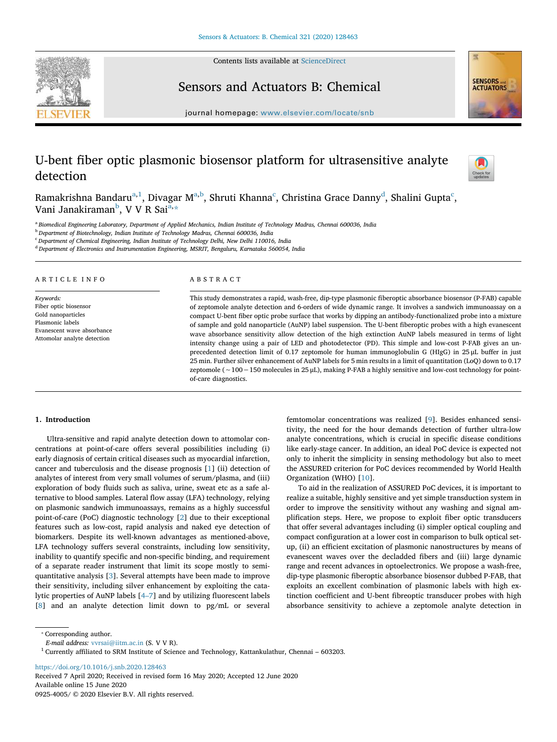Contents lists available at ScienceDirect



Sensors and Actuators B: Chemical



journal homepage: www.elsevier.com/locate/snb

# U-bent fiber optic plasmonic biosensor platform for ultrasensitive analyte detection



Ramakrishna Bandaru $\mathrm{^{a,1}}$ , Divagar M $\mathrm{^{a,b}}$ , Shruti Khanna $\mathrm{^c}$ , Christina Grace Danny $\mathrm{^d}$ , Shalini Gupta $\mathrm{^c}$ , Vani Janakiraman<sup>b</sup>, V V R Sai<sup>a,</sup>\*

a *Biomedical Engineering Laboratory, Department of Applied Mechanics, Indian Institute of Technology Madras, Chennai 600036, India*

<sup>b</sup> *Department of Biotechnology, Indian Institute of Technology Madras, Chennai 600036, India*

<sup>c</sup> *Department of Chemical Engineering, Indian Institute of Technology Delhi, New Delhi 110016, India*

<sup>d</sup> *Department of Electronics and Instrumentation Engineering, MSRIT, Bengaluru, Karnataka 560054, India*

#### ARTICLE INFO

*Keywords:* Fiber optic biosensor Gold nanoparticles Plasmonic labels Evanescent wave absorbance Attomolar analyte detection

## ABSTRACT

This study demonstrates a rapid, wash-free, dip-type plasmonic fiberoptic absorbance biosensor (P-FAB) capable of zeptomole analyte detection and 6-orders of wide dynamic range. It involves a sandwich immunoassay on a compact U-bent fiber optic probe surface that works by dipping an antibody-functionalized probe into a mixture of sample and gold nanoparticle (AuNP) label suspension. The U-bent fiberoptic probes with a high evanescent wave absorbance sensitivity allow detection of the high extinction AuNP labels measured in terms of light intensity change using a pair of LED and photodetector (PD). This simple and low-cost P-FAB gives an unprecedented detection limit of 0.17 zeptomole for human immunoglobulin G (HIgG) in 25 μL buffer in just 25 min. Further silver enhancement of AuNP labels for 5 min results in a limit of quantitation (LoQ) down to 0.17 zeptomole (∼100−150 molecules in 25 μL), making P-FAB a highly sensitive and low-cost technology for pointof-care diagnostics.

#### 1. Introduction

Ultra-sensitive and rapid analyte detection down to attomolar concentrations at point-of-care offers several possibilities including (i) early diagnosis of certain critical diseases such as myocardial infarction, cancer and tuberculosis and the disease prognosis [1] (ii) detection of analytes of interest from very small volumes of serum/plasma, and (iii) exploration of body fluids such as saliva, urine, sweat etc as a safe alternative to blood samples. Lateral flow assay (LFA) technology, relying on plasmonic sandwich immunoassays, remains as a highly successful point-of-care (PoC) diagnostic technology [2] due to their exceptional features such as low-cost, rapid analysis and naked eye detection of biomarkers. Despite its well-known advantages as mentioned-above, LFA technology suffers several constraints, including low sensitivity, inability to quantify specific and non-specific binding, and requirement of a separate reader instrument that limit its scope mostly to semiquantitative analysis [3]. Several attempts have been made to improve their sensitivity, including silver enhancement by exploiting the catalytic properties of AuNP labels [4–7] and by utilizing fluorescent labels [8] and an analyte detection limit down to pg/mL or several femtomolar concentrations was realized [9]. Besides enhanced sensitivity, the need for the hour demands detection of further ultra-low analyte concentrations, which is crucial in specific disease conditions like early-stage cancer. In addition, an ideal PoC device is expected not only to inherit the simplicity in sensing methodology but also to meet the ASSURED criterion for PoC devices recommended by World Health Organization (WHO) [10].

To aid in the realization of ASSURED PoC devices, it is important to realize a suitable, highly sensitive and yet simple transduction system in order to improve the sensitivity without any washing and signal amplification steps. Here, we propose to exploit fiber optic transducers that offer several advantages including (i) simpler optical coupling and compact configuration at a lower cost in comparison to bulk optical setup, (ii) an efficient excitation of plasmonic nanostructures by means of evanescent waves over the decladded fibers and (iii) large dynamic range and recent advances in optoelectronics. We propose a wash-free, dip-type plasmonic fiberoptic absorbance biosensor dubbed P-FAB, that exploits an excellent combination of plasmonic labels with high extinction coefficient and U-bent fibreoptic transducer probes with high absorbance sensitivity to achieve a zeptomole analyte detection in

https://doi.org/10.1016/j.snb.2020.128463

Received 7 April 2020; Received in revised form 16 May 2020; Accepted 12 June 2020 Available online 15 June 2020 0925-4005/ © 2020 Elsevier B.V. All rights reserved.

<sup>⁎</sup> Corresponding author.

*E-mail address:* vvrsai@iitm.ac.in (S. V V R).

 $1$  Currently affiliated to SRM Institute of Science and Technology, Kattankulathur, Chennai – 603203.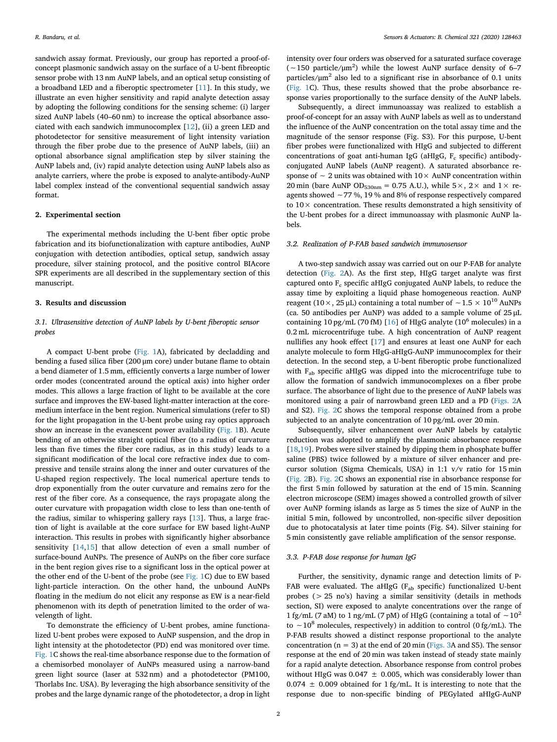sandwich assay format. Previously, our group has reported a proof-ofconcept plasmonic sandwich assay on the surface of a U-bent fibreoptic sensor probe with 13 nm AuNP labels, and an optical setup consisting of a broadband LED and a fiberoptic spectrometer [11]. In this study, we illustrate an even higher sensitivity and rapid analyte detection assay by adopting the following conditions for the sensing scheme: (i) larger sized AuNP labels (40–60 nm) to increase the optical absorbance associated with each sandwich immunocomplex [12], (ii) a green LED and photodetector for sensitive measurement of light intensity variation through the fiber probe due to the presence of AuNP labels, (iii) an optional absorbance signal amplification step by silver staining the AuNP labels and, (iv) rapid analyte detection using AuNP labels also as analyte carriers, where the probe is exposed to analyte-antibody-AuNP label complex instead of the conventional sequential sandwich assay format.

#### 2. Experimental section

The experimental methods including the U-bent fiber optic probe fabrication and its biofunctionalization with capture antibodies, AuNP conjugation with detection antibodies, optical setup, sandwich assay procedure, silver staining protocol, and the positive control BIAcore SPR experiments are all described in the supplementary section of this manuscript.

#### 3. Results and discussion

# *3.1. Ultrasensitive detection of AuNP labels by U-bent* fi*beroptic sensor probes*

A compact U-bent probe (Fig. 1A), fabricated by decladding and bending a fused silica fiber (200 μm core) under butane flame to obtain a bend diameter of 1.5 mm, efficiently converts a large number of lower order modes (concentrated around the optical axis) into higher order modes. This allows a large fraction of light to be available at the core surface and improves the EW-based light-matter interaction at the coremedium interface in the bent region. Numerical simulations (refer to SI) for the light propagation in the U-bent probe using ray optics approach show an increase in the evanescent power availability (Fig. 1B). Acute bending of an otherwise straight optical fiber (to a radius of curvature less than five times the fiber core radius, as in this study) leads to a significant modification of the local core refractive index due to compressive and tensile strains along the inner and outer curvatures of the U-shaped region respectively. The local numerical aperture tends to drop exponentially from the outer curvature and remains zero for the rest of the fiber core. As a consequence, the rays propagate along the outer curvature with propagation width close to less than one-tenth of the radius, similar to whispering gallery rays [13]. Thus, a large fraction of light is available at the core surface for EW based light-AuNP interaction. This results in probes with significantly higher absorbance sensitivity [14,15] that allow detection of even a small number of surface-bound AuNPs. The presence of AuNPs on the fiber core surface in the bent region gives rise to a significant loss in the optical power at the other end of the U-bent of the probe (see Fig. 1C) due to EW based light-particle interaction. On the other hand, the unbound AuNPs floating in the medium do not elicit any response as EW is a near-field phenomenon with its depth of penetration limited to the order of wavelength of light.

To demonstrate the efficiency of U-bent probes, amine functionalized U-bent probes were exposed to AuNP suspension, and the drop in light intensity at the photodetector (PD) end was monitored over time. Fig. 1C shows the real-time absorbance response due to the formation of a chemisorbed monolayer of AuNPs measured using a narrow-band green light source (laser at 532 nm) and a photodetector (PM100, Thorlabs Inc. USA). By leveraging the high absorbance sensitivity of the probes and the large dynamic range of the photodetector, a drop in light intensity over four orders was observed for a saturated surface coverage (∼150 particle/μm 2 ) while the lowest AuNP surface density of 6–7 particles/ $\mu$ m<sup>2</sup> also led to a significant rise in absorbance of 0.1 units (Fig. 1C). Thus, these results showed that the probe absorbance response varies proportionally to the surface density of the AuNP labels.

Subsequently, a direct immunoassay was realized to establish a proof-of-concept for an assay with AuNP labels as well as to understand the influence of the AuNP concentration on the total assay time and the magnitude of the sensor response (Fig. S3). For this purpose, U-bent fiber probes were functionalized with HIgG and subjected to different concentrations of goat anti-human IgG (aHIgG,  $F_c$  specific) antibodyconjugated AuNP labels (AuNP reagent). A saturated absorbance response of  $\sim$  2 units was obtained with 10 $\times$  AuNP concentration within 20 min (bare AuNP OD<sub>530nm</sub> = 0.75 A.U.), while  $5 \times$ ,  $2 \times$  and  $1 \times$  reagents showed ∼77 %, 19 % and 8% of response respectively compared to  $10\times$  concentration. These results demonstrated a high sensitivity of the U-bent probes for a direct immunoassay with plasmonic AuNP labels.

#### *3.2. Realization of P-FAB based sandwich immunosensor*

A two-step sandwich assay was carried out on our P-FAB for analyte detection (Fig. 2A). As the first step, HIgG target analyte was first captured onto F<sub>c</sub> specific aHIgG conjugated AuNP labels, to reduce the assay time by exploiting a liquid phase homogeneous reaction. AuNP reagent (10×, 25 μL) containing a total number of ~1.5 ×  $10^{10}$  AuNPs (ca. 50 antibodies per AuNP) was added to a sample volume of 25 μL containing 10 pg/mL (70 fM) [16] of HIgG analyte (10<sup>6</sup> molecules) in a 0.2 mL microcentrifuge tube. A high concentration of AuNP reagent nullifies any hook effect [17] and ensures at least one AuNP for each analyte molecule to form HIgG-aHIgG-AuNP immunocomplex for their detection. In the second step, a U-bent fiberoptic probe functionalized with F<sub>ab</sub> specific aHIgG was dipped into the microcentrifuge tube to allow the formation of sandwich immunocomplexes on a fiber probe surface. The absorbance of light due to the presence of AuNP labels was monitored using a pair of narrowband green LED and a PD (Figs. 2A and S2). Fig. 2C shows the temporal response obtained from a probe subjected to an analyte concentration of 10 pg/mL over 20 min.

Subsequently, silver enhancement over AuNP labels by catalytic reduction was adopted to amplify the plasmonic absorbance response [18,19]. Probes were silver stained by dipping them in phosphate buffer saline (PBS) twice followed by a mixture of silver enhancer and precursor solution (Sigma Chemicals, USA) in 1:1 v/v ratio for 15 min (Fig. 2B). Fig. 2C shows an exponential rise in absorbance response for the first 5 min followed by saturation at the end of 15 min. Scanning electron microscope (SEM) images showed a controlled growth of silver over AuNP forming islands as large as 5 times the size of AuNP in the initial 5 min, followed by uncontrolled, non-specific silver deposition due to photocatalysis at later time points (Fig. S4). Silver staining for 5 min consistently gave reliable amplification of the sensor response.

#### *3.3. P-FAB dose response for human IgG*

Further, the sensitivity, dynamic range and detection limits of P-FAB were evaluated. The aHIgG ( $F_{ab}$  specific) functionalized U-bent probes (> 25 no's) having a similar sensitivity (details in methods section, SI) were exposed to analyte concentrations over the range of 1 fg/mL (7 aM) to 1 ng/mL (7 pM) of HIgG (containing a total of  $\sim 10^2$ to ∼10<sup>8</sup> molecules, respectively) in addition to control (0 fg/mL). The P-FAB results showed a distinct response proportional to the analyte concentration ( $n = 3$ ) at the end of 20 min (Figs. 3A and S5). The sensor response at the end of 20 min was taken instead of steady state mainly for a rapid analyte detection. Absorbance response from control probes without HIgG was  $0.047 \pm 0.005$ , which was considerably lower than 0.074  $\pm$  0.009 obtained for 1 fg/mL. It is interesting to note that the response due to non-specific binding of PEGylated aHIgG-AuNP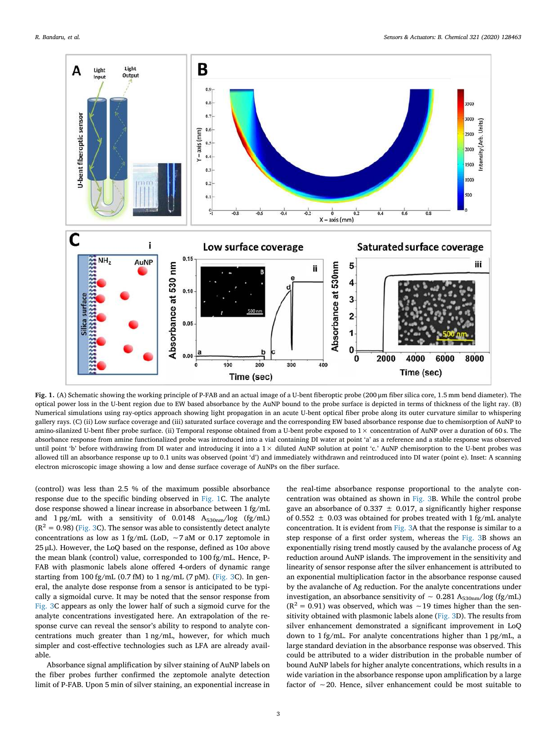

Fig. 1. (A) Schematic showing the working principle of P-FAB and an actual image of a U-bent fiberoptic probe (200 μm fiber silica core, 1.5 mm bend diameter). The optical power loss in the U-bent region due to EW based absorbance by the AuNP bound to the probe surface is depicted in terms of thickness of the light ray. (B) Numerical simulations using ray-optics approach showing light propagation in an acute U-bent optical fiber probe along its outer curvature similar to whispering gallery rays. (C) (ii) Low surface coverage and (iii) saturated surface coverage and the corresponding EW based absorbance response due to chemisorption of AuNP to amino-silanized U-bent fiber probe surface. (ii) Temporal response obtained from a U-bent probe exposed to  $1 \times$  concentration of AuNP over a duration of 60 s. The absorbance response from amine functionalized probe was introduced into a vial containing DI water at point 'a' as a reference and a stable response was observed until point 'b' before withdrawing from DI water and introducing it into a 1× diluted AuNP solution at point 'c.' AuNP chemisorption to the U-bent probes was allowed till an absorbance response up to 0.1 units was observed (point 'd') and immediately withdrawn and reintroduced into DI water (point e). Inset: A scanning electron microscopic image showing a low and dense surface coverage of AuNPs on the fiber surface.

(control) was less than 2.5 % of the maximum possible absorbance response due to the specific binding observed in Fig. 1C. The analyte dose response showed a linear increase in absorbance between 1 fg/mL and 1 pg/mL with a sensitivity of 0.0148  $A_{530nm}/log$  (fg/mL)  $(R^2 = 0.98)$  (Fig. 3C). The sensor was able to consistently detect analyte concentrations as low as 1 fg/mL (LoD, ∼7 aM or 0.17 zeptomole in 25 μL). However, the LoQ based on the response, defined as 10σ above the mean blank (control) value, corresponded to 100 fg/mL. Hence, P-FAB with plasmonic labels alone offered 4-orders of dynamic range starting from 100 fg/mL (0.7 fM) to 1 ng/mL (7 pM). (Fig. 3C). In general, the analyte dose response from a sensor is anticipated to be typically a sigmoidal curve. It may be noted that the sensor response from Fig. 3C appears as only the lower half of such a sigmoid curve for the analyte concentrations investigated here. An extrapolation of the response curve can reveal the sensor's ability to respond to analyte concentrations much greater than 1 ng/mL, however, for which much simpler and cost-effective technologies such as LFA are already available.

Absorbance signal amplification by silver staining of AuNP labels on the fiber probes further confirmed the zeptomole analyte detection limit of P-FAB. Upon 5 min of silver staining, an exponential increase in

the real-time absorbance response proportional to the analyte concentration was obtained as shown in Fig. 3B. While the control probe gave an absorbance of 0.337  $\pm$  0.017, a significantly higher response of 0.552  $\pm$  0.03 was obtained for probes treated with 1 fg/mL analyte concentration. It is evident from Fig. 3A that the response is similar to a step response of a first order system, whereas the Fig. 3B shows an exponentially rising trend mostly caused by the avalanche process of Ag reduction around AuNP islands. The improvement in the sensitivity and linearity of sensor response after the silver enhancement is attributed to an exponential multiplication factor in the absorbance response caused by the avalanche of Ag reduction. For the analyte concentrations under investigation, an absorbance sensitivity of ∼ 0.281 A<sub>530nm</sub>/log (fg/mL)  $(R<sup>2</sup> = 0.91)$  was observed, which was ~19 times higher than the sensitivity obtained with plasmonic labels alone (Fig. 3D). The results from silver enhancement demonstrated a significant improvement in LoQ down to 1 fg/mL. For analyte concentrations higher than 1 pg/mL, a large standard deviation in the absorbance response was observed. This could be attributed to a wider distribution in the probable number of bound AuNP labels for higher analyte concentrations, which results in a wide variation in the absorbance response upon amplification by a large factor of ∼20. Hence, silver enhancement could be most suitable to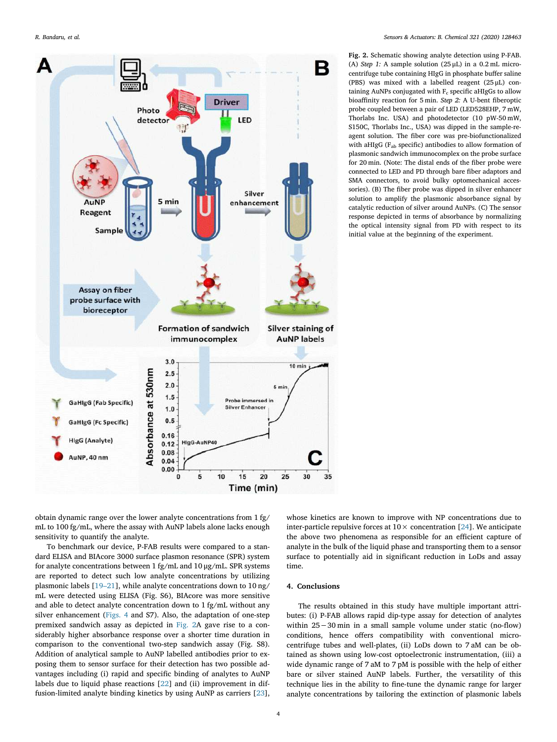

Fig. 2. Schematic showing analyte detection using P-FAB. (A) *Step 1:* A sample solution (25 μL) in a 0.2 mL microcentrifuge tube containing HIgG in phosphate buffer saline (PBS) was mixed with a labelled reagent (25 μL) containing AuNPs conjugated with  $F_c$  specific aHIgGs to allow bioaffinity reaction for 5 min. *Step 2:* A U-bent fiberoptic probe coupled between a pair of LED (LED528EHP, 7 mW, Thorlabs Inc. USA) and photodetector (10 pW-50 mW, S150C, Thorlabs Inc., USA) was dipped in the sample-reagent solution. The fiber core was pre-biofunctionalized with aHIgG (F<sub>ab</sub> specific) antibodies to allow formation of plasmonic sandwich immunocomplex on the probe surface for 20 min. (Note: The distal ends of the fiber probe were connected to LED and PD through bare fiber adaptors and SMA connectors, to avoid bulky optomechanical accessories). (B) The fiber probe was dipped in silver enhancer solution to amplify the plasmonic absorbance signal by catalytic reduction of silver around AuNPs. (C) The sensor response depicted in terms of absorbance by normalizing the optical intensity signal from PD with respect to its initial value at the beginning of the experiment.

obtain dynamic range over the lower analyte concentrations from 1 fg/ mL to 100 fg/mL, where the assay with AuNP labels alone lacks enough sensitivity to quantify the analyte.

To benchmark our device, P-FAB results were compared to a standard ELISA and BIAcore 3000 surface plasmon resonance (SPR) system for analyte concentrations between 1 fg/mL and 10 μg/mL. SPR systems are reported to detect such low analyte concentrations by utilizing plasmonic labels [19–21], while analyte concentrations down to 10 ng/ mL were detected using ELISA (Fig. S6), BIAcore was more sensitive and able to detect analyte concentration down to 1 fg/mL without any silver enhancement (Figs. 4 and S7). Also, the adaptation of one-step premixed sandwich assay as depicted in Fig. 2A gave rise to a considerably higher absorbance response over a shorter time duration in comparison to the conventional two-step sandwich assay (Fig. S8). Addition of analytical sample to AuNP labelled antibodies prior to exposing them to sensor surface for their detection has two possible advantages including (i) rapid and specific binding of analytes to AuNP labels due to liquid phase reactions [22] and (ii) improvement in diffusion-limited analyte binding kinetics by using AuNP as carriers [23], whose kinetics are known to improve with NP concentrations due to inter-particle repulsive forces at  $10 \times$  concentration [24]. We anticipate the above two phenomena as responsible for an efficient capture of analyte in the bulk of the liquid phase and transporting them to a sensor surface to potentially aid in significant reduction in LoDs and assay time.

#### 4. Conclusions

The results obtained in this study have multiple important attributes: (i) P-FAB allows rapid dip-type assay for detection of analytes within 25−30 min in a small sample volume under static (no-flow) conditions, hence offers compatibility with conventional microcentrifuge tubes and well-plates, (ii) LoDs down to 7 aM can be obtained as shown using low-cost optoelectronic instrumentation, (iii) a wide dynamic range of 7 aM to 7 pM is possible with the help of either bare or silver stained AuNP labels. Further, the versatility of this technique lies in the ability to fine-tune the dynamic range for larger analyte concentrations by tailoring the extinction of plasmonic labels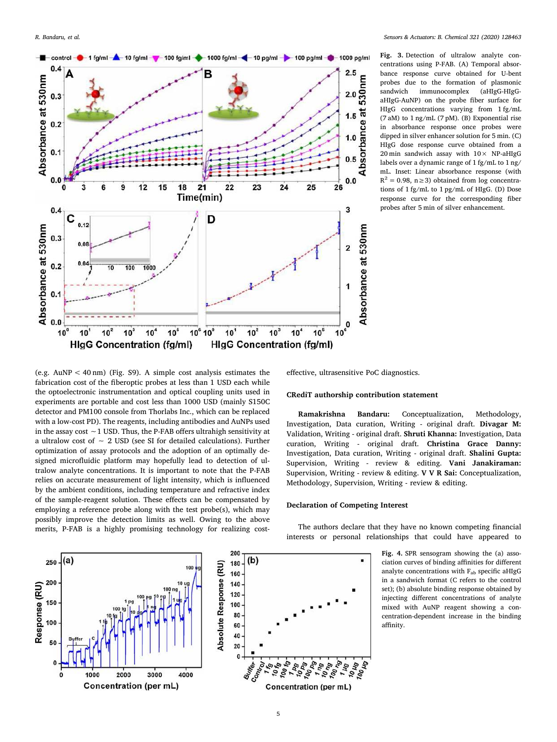

Fig. 3. Detection of ultralow analyte concentrations using P-FAB. (A) Temporal absorbance response curve obtained for U-bent probes due to the formation of plasmonic sandwich immunocomplex (aHIgG-HIgGaHIgG-AuNP) on the probe fiber surface for HIgG concentrations varying from 1 fg/mL (7 aM) to 1 ng/mL (7 pM). (B) Exponential rise in absorbance response once probes were dipped in silver enhancer solution for 5 min. (C) HIgG dose response curve obtained from a 20 min sandwich assay with  $10 \times NP$ -aHIgG labels over a dynamic range of 1 fg/mL to 1 ng/ mL. Inset: Linear absorbance response (with  $R^2 = 0.98$ , n ≥ 3) obtained from log concentrations of 1 fg/mL to 1 pg/mL of HIgG. (D) Dose response curve for the corresponding fiber probes after 5 min of silver enhancement.

(e.g. AuNP < 40 nm) (Fig. S9). A simple cost analysis estimates the fabrication cost of the fiberoptic probes at less than 1 USD each while the optoelectronic instrumentation and optical coupling units used in experiments are portable and cost less than 1000 USD (mainly S150C detector and PM100 console from Thorlabs Inc., which can be replaced with a low-cost PD). The reagents, including antibodies and AuNPs used in the assay cost ∼1 USD. Thus, the P-FAB offers ultrahigh sensitivity at a ultralow cost of ∼ 2 USD (see SI for detailed calculations). Further optimization of assay protocols and the adoption of an optimally designed microfluidic platform may hopefully lead to detection of ultralow analyte concentrations. It is important to note that the P-FAB relies on accurate measurement of light intensity, which is influenced by the ambient conditions, including temperature and refractive index of the sample-reagent solution. These effects can be compensated by employing a reference probe along with the test probe(s), which may possibly improve the detection limits as well. Owing to the above merits, P-FAB is a highly promising technology for realizing costeffective, ultrasensitive PoC diagnostics.

#### CRediT authorship contribution statement

Ramakrishna Bandaru: Conceptualization, Methodology, Investigation, Data curation, Writing - original draft. Divagar M: Validation, Writing - original draft. Shruti Khanna: Investigation, Data curation, Writing - original draft. Christina Grace Danny: Investigation, Data curation, Writing - original draft. Shalini Gupta: Supervision, Writing - review & editing. Vani Janakiraman: Supervision, Writing - review & editing. V V R Sai: Conceptualization, Methodology, Supervision, Writing - review & editing.

## Declaration of Competing Interest

The authors declare that they have no known competing financial interests or personal relationships that could have appeared to

> Fig. 4. SPR sensogram showing the (a) association curves of binding affinities for different analyte concentrations with  $F_{ab}$  specific aHIgG in a sandwich format (C refers to the control set); (b) absolute binding response obtained by injecting different concentrations of analyte mixed with AuNP reagent showing a concentration-dependent increase in the binding affinity.





200